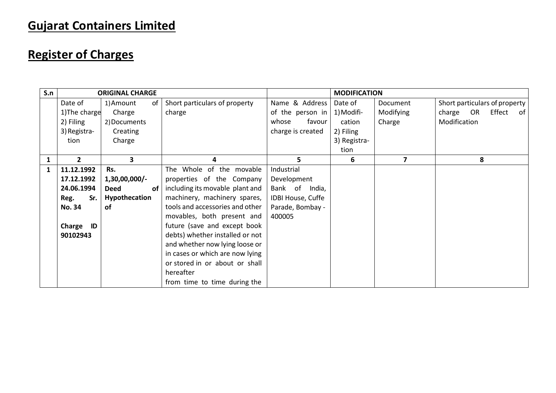## **Gujarat Containers Limited**

## **Register of Charges**

| S.n |               | <b>ORIGINAL CHARGE</b>   |                                 |                   | <b>MODIFICATION</b> |                         |                               |
|-----|---------------|--------------------------|---------------------------------|-------------------|---------------------|-------------------------|-------------------------------|
|     | Date of       | 1) Amount<br>of          | Short particulars of property   | Name & Address    | Date of             | Document                | Short particulars of property |
|     | 1) The charge | Charge                   | charge                          | of the person in  | 1) Modifi-          | Modifying               | charge OR<br>Effect<br>of l   |
|     | 2) Filing     | 2) Documents             |                                 | favour<br>whose   | cation              | Charge                  | Modification                  |
|     | 3) Registra-  | Creating                 |                                 | charge is created | 2) Filing           |                         |                               |
|     | tion          | Charge                   |                                 |                   | 3) Registra-        |                         |                               |
|     |               |                          |                                 |                   | tion                |                         |                               |
|     | $\mathbf{2}$  | 3                        | 4                               | 5                 | 6                   | $\overline{\mathbf{z}}$ | 8                             |
| 1   | 11.12.1992    | Rs.                      | The Whole of the movable        | Industrial        |                     |                         |                               |
|     | 17.12.1992    | $1,30,00,000/$ -         | properties of the Company       | Development       |                     |                         |                               |
|     | 24.06.1994    | <b>Deed</b><br><b>of</b> | including its movable plant and | Bank of<br>India, |                     |                         |                               |
|     | Sr.<br>Reg.   | Hypothecation            | machinery, machinery spares,    | IDBI House, Cuffe |                     |                         |                               |
|     | <b>No. 34</b> | <b>of</b>                | tools and accessories and other | Parade, Bombay -  |                     |                         |                               |
|     |               |                          | movables, both present and      | 400005            |                     |                         |                               |
|     | Charge<br>ID  |                          | future (save and except book    |                   |                     |                         |                               |
|     | 90102943      |                          | debts) whether installed or not |                   |                     |                         |                               |
|     |               |                          | and whether now lying loose or  |                   |                     |                         |                               |
|     |               |                          | in cases or which are now lying |                   |                     |                         |                               |
|     |               |                          | or stored in or about or shall  |                   |                     |                         |                               |
|     |               |                          | hereafter                       |                   |                     |                         |                               |
|     |               |                          | from time to time during the    |                   |                     |                         |                               |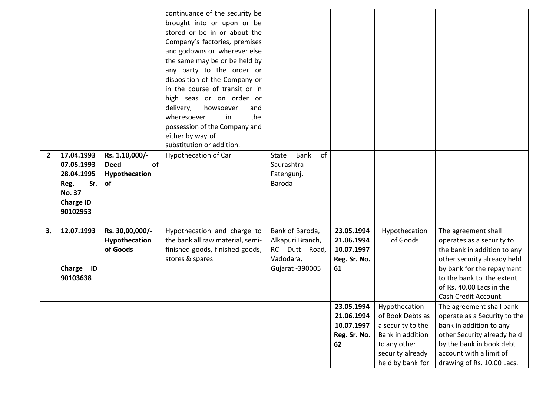|                |                                                                                                        |                                                            | continuance of the security be<br>brought into or upon or be<br>stored or be in or about the<br>Company's factories, premises<br>and godowns or wherever else<br>the same may be or be held by<br>any party to the order or<br>disposition of the Company or<br>in the course of transit or in<br>high seas or on order or<br>delivery,<br>howsoever<br>and<br>wheresoever<br>in<br>the |                                                                                      |                                                              |                                                                                                                                    |                                                                                                                                                                                                                              |
|----------------|--------------------------------------------------------------------------------------------------------|------------------------------------------------------------|-----------------------------------------------------------------------------------------------------------------------------------------------------------------------------------------------------------------------------------------------------------------------------------------------------------------------------------------------------------------------------------------|--------------------------------------------------------------------------------------|--------------------------------------------------------------|------------------------------------------------------------------------------------------------------------------------------------|------------------------------------------------------------------------------------------------------------------------------------------------------------------------------------------------------------------------------|
|                |                                                                                                        |                                                            | possession of the Company and<br>either by way of                                                                                                                                                                                                                                                                                                                                       |                                                                                      |                                                              |                                                                                                                                    |                                                                                                                                                                                                                              |
| $\overline{2}$ | 17.04.1993<br>07.05.1993<br>28.04.1995<br>Sr.<br>Reg.<br><b>No. 37</b><br><b>Charge ID</b><br>90102953 | Rs. 1,10,000/-<br>of<br><b>Deed</b><br>Hypothecation<br>of | substitution or addition.<br><b>Hypothecation of Car</b>                                                                                                                                                                                                                                                                                                                                | of<br><b>Bank</b><br><b>State</b><br>Saurashtra<br>Fatehgunj,<br>Baroda              |                                                              |                                                                                                                                    |                                                                                                                                                                                                                              |
| 3.             | 12.07.1993<br>Charge ID<br>90103638                                                                    | Rs. 30,00,000/-<br>Hypothecation<br>of Goods               | Hypothecation and charge to<br>the bank all raw material, semi-<br>finished goods, finished goods,<br>stores & spares                                                                                                                                                                                                                                                                   | Bank of Baroda,<br>Alkapuri Branch,<br>RC Dutt Road,<br>Vadodara,<br>Gujarat -390005 | 23.05.1994<br>21.06.1994<br>10.07.1997<br>Reg. Sr. No.<br>61 | Hypothecation<br>of Goods                                                                                                          | The agreement shall<br>operates as a security to<br>the bank in addition to any<br>other security already held<br>by bank for the repayment<br>to the bank to the extent<br>of Rs. 40.00 Lacs in the<br>Cash Credit Account. |
|                |                                                                                                        |                                                            |                                                                                                                                                                                                                                                                                                                                                                                         |                                                                                      | 23.05.1994<br>21.06.1994<br>10.07.1997<br>Reg. Sr. No.<br>62 | Hypothecation<br>of Book Debts as<br>a security to the<br>Bank in addition<br>to any other<br>security already<br>held by bank for | The agreement shall bank<br>operate as a Security to the<br>bank in addition to any<br>other Security already held<br>by the bank in book debt<br>account with a limit of<br>drawing of Rs. 10.00 Lacs.                      |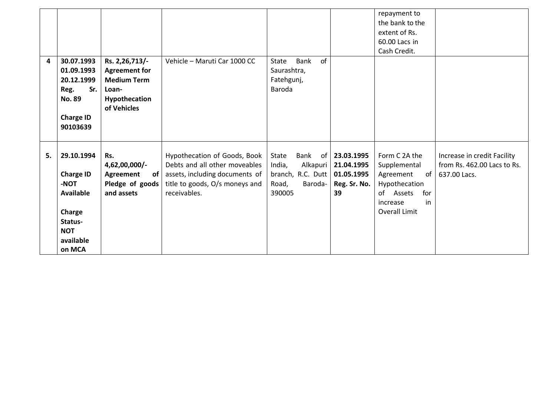|    |                                                                                                                      |                                                                                                       |                                                                                                                                                   |                                                                                        |                                                                 | repayment to<br>the bank to the<br>extent of Rs.<br>60.00 Lacs in<br>Cash Credit.                                        |                                                                            |
|----|----------------------------------------------------------------------------------------------------------------------|-------------------------------------------------------------------------------------------------------|---------------------------------------------------------------------------------------------------------------------------------------------------|----------------------------------------------------------------------------------------|-----------------------------------------------------------------|--------------------------------------------------------------------------------------------------------------------------|----------------------------------------------------------------------------|
| 4  | 30.07.1993<br>01.09.1993<br>20.12.1999<br>Sr.<br>Reg.<br><b>No. 89</b><br><b>Charge ID</b><br>90103639               | Rs. 2,26,713/-<br><b>Agreement for</b><br><b>Medium Term</b><br>Loan-<br>Hypothecation<br>of Vehicles | Vehicle - Maruti Car 1000 CC                                                                                                                      | of<br>Bank<br>State<br>Saurashtra,<br>Fatehgunj,<br>Baroda                             |                                                                 |                                                                                                                          |                                                                            |
| 5. | 29.10.1994<br><b>Charge ID</b><br>-NOT<br><b>Available</b><br>Charge<br>Status-<br><b>NOT</b><br>available<br>on MCA | Rs.<br>4,62,00,000/-<br>Agreement<br>of <sub>l</sub><br>Pledge of goods  <br>and assets               | Hypothecation of Goods, Book<br>Debts and all other moveables<br>assets, including documents of<br>title to goods, O/s moneys and<br>receivables. | Bank<br>State<br>India,<br>Alkapuri<br>branch, R.C. Dutt<br>Road,<br>Baroda-<br>390005 | of 23.03.1995<br>21.04.1995<br>01.05.1995<br>Reg. Sr. No.<br>39 | Form C 2A the<br>Supplemental<br>Agreement<br>of<br>Hypothecation<br>of Assets<br>for<br>in<br>increase<br>Overall Limit | Increase in credit Facility<br>from Rs. 462.00 Lacs to Rs.<br>637.00 Lacs. |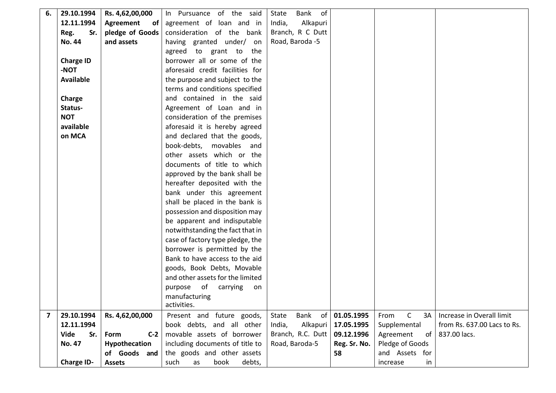| 6.                      | 29.10.1994       | Rs. 4,62,00,000 | In Pursuance of the said         | of<br>Bank<br>State |              |                            |                             |
|-------------------------|------------------|-----------------|----------------------------------|---------------------|--------------|----------------------------|-----------------------------|
|                         | 12.11.1994       | Agreement<br>of | agreement of loan and in         | India,<br>Alkapuri  |              |                            |                             |
|                         | Sr.<br>Reg.      | pledge of Goods | consideration of the bank        | Branch, R C Dutt    |              |                            |                             |
|                         | <b>No. 44</b>    | and assets      | having granted under/ on         | Road, Baroda -5     |              |                            |                             |
|                         |                  |                 | agreed to grant to the           |                     |              |                            |                             |
|                         | <b>Charge ID</b> |                 | borrower all or some of the      |                     |              |                            |                             |
|                         | <b>TON-</b>      |                 | aforesaid credit facilities for  |                     |              |                            |                             |
|                         | <b>Available</b> |                 | the purpose and subject to the   |                     |              |                            |                             |
|                         |                  |                 | terms and conditions specified   |                     |              |                            |                             |
|                         | Charge           |                 | and contained in the said        |                     |              |                            |                             |
|                         | Status-          |                 | Agreement of Loan and in         |                     |              |                            |                             |
|                         | <b>NOT</b>       |                 | consideration of the premises    |                     |              |                            |                             |
|                         | available        |                 | aforesaid it is hereby agreed    |                     |              |                            |                             |
|                         | on MCA           |                 | and declared that the goods,     |                     |              |                            |                             |
|                         |                  |                 | book-debts, movables and         |                     |              |                            |                             |
|                         |                  |                 | other assets which or the        |                     |              |                            |                             |
|                         |                  |                 | documents of title to which      |                     |              |                            |                             |
|                         |                  |                 | approved by the bank shall be    |                     |              |                            |                             |
|                         |                  |                 | hereafter deposited with the     |                     |              |                            |                             |
|                         |                  |                 | bank under this agreement        |                     |              |                            |                             |
|                         |                  |                 | shall be placed in the bank is   |                     |              |                            |                             |
|                         |                  |                 | possession and disposition may   |                     |              |                            |                             |
|                         |                  |                 | be apparent and indisputable     |                     |              |                            |                             |
|                         |                  |                 | notwithstanding the fact that in |                     |              |                            |                             |
|                         |                  |                 | case of factory type pledge, the |                     |              |                            |                             |
|                         |                  |                 | borrower is permitted by the     |                     |              |                            |                             |
|                         |                  |                 | Bank to have access to the aid   |                     |              |                            |                             |
|                         |                  |                 | goods, Book Debts, Movable       |                     |              |                            |                             |
|                         |                  |                 | and other assets for the limited |                     |              |                            |                             |
|                         |                  |                 | purpose of<br>carrying<br>on     |                     |              |                            |                             |
|                         |                  |                 | manufacturing                    |                     |              |                            |                             |
|                         |                  |                 | activities.                      |                     |              |                            |                             |
| $\overline{\mathbf{z}}$ | 29.10.1994       | Rs. 4,62,00,000 | Present and future goods,        | Bank<br>of<br>State | 01.05.1995   | $\mathsf{C}$<br>3A<br>From | Increase in Overall limit   |
|                         | 12.11.1994       |                 | book debts, and all other        | India,<br>Alkapuri  | 17.05.1995   | Supplemental               | from Rs. 637.00 Lacs to Rs. |
|                         | Vide<br>Sr.      | $C-2$<br>Form   | movable assets of borrower       | Branch, R.C. Dutt   | 09.12.1996   | Agreement<br>of            | 837.00 lacs.                |
|                         | <b>No. 47</b>    | Hypothecation   | including documents of title to  | Road, Baroda-5      | Reg. Sr. No. | Pledge of Goods            |                             |
|                         |                  | of Goods and    | the goods and other assets       |                     | 58           | and Assets for             |                             |
|                         | Charge ID-       | <b>Assets</b>   | such<br>book<br>debts,<br>as     |                     |              | increase<br>in             |                             |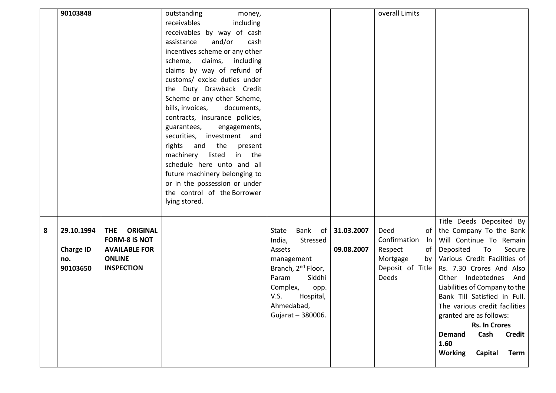|   | 90103848         |                                                       | outstanding<br>money,          |                                |            | overall Limits                         |                                                    |
|---|------------------|-------------------------------------------------------|--------------------------------|--------------------------------|------------|----------------------------------------|----------------------------------------------------|
|   |                  |                                                       | receivables<br>including       |                                |            |                                        |                                                    |
|   |                  |                                                       | receivables by way of cash     |                                |            |                                        |                                                    |
|   |                  |                                                       | assistance<br>and/or<br>cash   |                                |            |                                        |                                                    |
|   |                  |                                                       | incentives scheme or any other |                                |            |                                        |                                                    |
|   |                  |                                                       | scheme,<br>claims, including   |                                |            |                                        |                                                    |
|   |                  |                                                       | claims by way of refund of     |                                |            |                                        |                                                    |
|   |                  |                                                       | customs/ excise duties under   |                                |            |                                        |                                                    |
|   |                  |                                                       | the Duty Drawback Credit       |                                |            |                                        |                                                    |
|   |                  |                                                       | Scheme or any other Scheme,    |                                |            |                                        |                                                    |
|   |                  |                                                       | bills, invoices,<br>documents, |                                |            |                                        |                                                    |
|   |                  |                                                       | contracts, insurance policies, |                                |            |                                        |                                                    |
|   |                  |                                                       | engagements,<br>guarantees,    |                                |            |                                        |                                                    |
|   |                  |                                                       | securities, investment and     |                                |            |                                        |                                                    |
|   |                  |                                                       | rights and the present         |                                |            |                                        |                                                    |
|   |                  |                                                       | machinery listed in the        |                                |            |                                        |                                                    |
|   |                  |                                                       | schedule here unto and all     |                                |            |                                        |                                                    |
|   |                  |                                                       | future machinery belonging to  |                                |            |                                        |                                                    |
|   |                  |                                                       | or in the possession or under  |                                |            |                                        |                                                    |
|   |                  |                                                       | the control of the Borrower    |                                |            |                                        |                                                    |
|   |                  |                                                       | lying stored.                  |                                |            |                                        |                                                    |
|   |                  |                                                       |                                |                                |            |                                        |                                                    |
|   |                  |                                                       |                                |                                |            |                                        | Title Deeds Deposited By                           |
| 8 | 29.10.1994       | <b>THE</b><br><b>ORIGINAL</b><br><b>FORM-8 IS NOT</b> |                                | Bank of<br>State               | 31.03.2007 | Deed<br>of<br>Confirmation             | the Company To the Bank<br>Will Continue To Remain |
|   | <b>Charge ID</b> | <b>AVAILABLE FOR</b>                                  |                                | India,<br>Stressed<br>Assets   | 09.08.2007 | $\ln$<br>of                            | Deposited To<br>Secure                             |
|   | no.              | <b>ONLINE</b>                                         |                                | management                     |            | Respect<br>Mortgage<br>by <sub>l</sub> | Various Credit Facilities of                       |
|   | 90103650         | <b>INSPECTION</b>                                     |                                | Branch, 2 <sup>nd</sup> Floor, |            | Deposit of Title                       | Rs. 7.30 Crores And Also                           |
|   |                  |                                                       |                                | Siddhi<br>Param                |            | <b>Deeds</b>                           | Other Indebtednes And                              |
|   |                  |                                                       |                                | Complex,<br>opp.               |            |                                        | Liabilities of Company to the                      |
|   |                  |                                                       |                                | V.S.<br>Hospital,              |            |                                        | Bank Till Satisfied in Full.                       |
|   |                  |                                                       |                                | Ahmedabad,                     |            |                                        | The various credit facilities                      |
|   |                  |                                                       |                                | Gujarat - 380006.              |            |                                        | granted are as follows:                            |
|   |                  |                                                       |                                |                                |            |                                        | <b>Rs. In Crores</b>                               |
|   |                  |                                                       |                                |                                |            |                                        | Cash<br><b>Credit</b><br><b>Demand</b>             |
|   |                  |                                                       |                                |                                |            |                                        | 1.60                                               |
|   |                  |                                                       |                                |                                |            |                                        | <b>Working</b><br>Capital<br><b>Term</b>           |
|   |                  |                                                       |                                |                                |            |                                        |                                                    |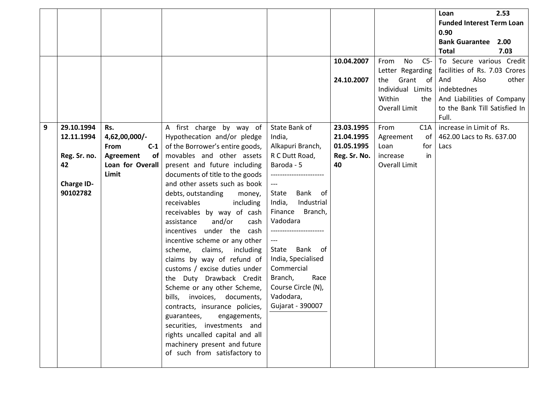|                |                   |                  |                                 |                      |              |                     | Loan                             | 2.53  |
|----------------|-------------------|------------------|---------------------------------|----------------------|--------------|---------------------|----------------------------------|-------|
|                |                   |                  |                                 |                      |              |                     | <b>Funded Interest Term Loan</b> |       |
|                |                   |                  |                                 |                      |              |                     | 0.90                             |       |
|                |                   |                  |                                 |                      |              |                     | <b>Bank Guarantee</b>            | 2.00  |
|                |                   |                  |                                 |                      |              |                     | <b>Total</b>                     | 7.03  |
|                |                   |                  |                                 |                      | 10.04.2007   | $C5-$<br>No<br>From | To Secure various Credit         |       |
|                |                   |                  |                                 |                      |              | Letter Regarding    | facilities of Rs. 7.03 Crores    |       |
|                |                   |                  |                                 |                      | 24.10.2007   | Grant of<br>the     | Also<br>And                      | other |
|                |                   |                  |                                 |                      |              | Individual Limits   | indebtednes                      |       |
|                |                   |                  |                                 |                      |              | Within<br>the       | And Liabilities of Company       |       |
|                |                   |                  |                                 |                      |              | Overall Limit       | to the Bank Till Satisfied In    |       |
|                |                   |                  |                                 |                      |              |                     | Full.                            |       |
| $\overline{9}$ | 29.10.1994        | Rs.              | A first charge by way of        | State Bank of        | 23.03.1995   | C1A<br>From         | increase in Limit of Rs.         |       |
|                | 12.11.1994        | 4,62,00,000/-    | Hypothecation and/or pledge     | India,               | 21.04.1995   | Agreement<br>of     | 462.00 Lacs to Rs. 637.00        |       |
|                |                   | From<br>$C-1$    | of the Borrower's entire goods, | Alkapuri Branch,     | 01.05.1995   | Loan<br>for         | Lacs                             |       |
|                | Reg. Sr. no.      | Agreement<br>of  | movables and other assets       | R C Dutt Road,       | Reg. Sr. No. | in<br>increase      |                                  |       |
|                | 42                | Loan for Overall | present and future including    | Baroda - 5           | 40           | Overall Limit       |                                  |       |
|                |                   | Limit            | documents of title to the goods |                      |              |                     |                                  |       |
|                | <b>Charge ID-</b> |                  | and other assets such as book   |                      |              |                     |                                  |       |
|                | 90102782          |                  | debts, outstanding<br>money,    | Bank of<br>State     |              |                     |                                  |       |
|                |                   |                  | receivables<br>including        | Industrial<br>India, |              |                     |                                  |       |
|                |                   |                  | receivables by way of cash      | Finance Branch,      |              |                     |                                  |       |
|                |                   |                  | and/or<br>assistance<br>cash    | Vadodara             |              |                     |                                  |       |
|                |                   |                  | incentives under the cash       |                      |              |                     |                                  |       |
|                |                   |                  | incentive scheme or any other   |                      |              |                     |                                  |       |
|                |                   |                  | claims,<br>including<br>scheme, | State Bank of        |              |                     |                                  |       |
|                |                   |                  | claims by way of refund of      | India, Specialised   |              |                     |                                  |       |
|                |                   |                  | customs / excise duties under   | Commercial           |              |                     |                                  |       |
|                |                   |                  | the Duty Drawback Credit        | Race<br>Branch,      |              |                     |                                  |       |
|                |                   |                  | Scheme or any other Scheme,     | Course Circle (N),   |              |                     |                                  |       |
|                |                   |                  | bills, invoices, documents,     | Vadodara,            |              |                     |                                  |       |
|                |                   |                  | contracts, insurance policies,  | Gujarat - 390007     |              |                     |                                  |       |
|                |                   |                  | guarantees,<br>engagements,     |                      |              |                     |                                  |       |
|                |                   |                  | securities, investments and     |                      |              |                     |                                  |       |
|                |                   |                  | rights uncalled capital and all |                      |              |                     |                                  |       |
|                |                   |                  | machinery present and future    |                      |              |                     |                                  |       |
|                |                   |                  | of such from satisfactory to    |                      |              |                     |                                  |       |
|                |                   |                  |                                 |                      |              |                     |                                  |       |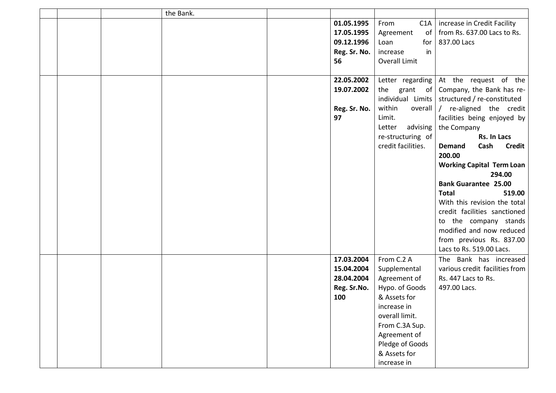|  | the Bank. |              |                    |                                                       |
|--|-----------|--------------|--------------------|-------------------------------------------------------|
|  |           | 01.05.1995   | From<br>C1A        | increase in Credit Facility                           |
|  |           | 17.05.1995   | of<br>Agreement    | from Rs. 637.00 Lacs to Rs.                           |
|  |           | 09.12.1996   | Loan<br>for        | 837.00 Lacs                                           |
|  |           | Reg. Sr. No. | increase<br>in     |                                                       |
|  |           | 56           | Overall Limit      |                                                       |
|  |           |              |                    |                                                       |
|  |           | 22.05.2002   | Letter regarding   | At the request of the                                 |
|  |           | 19.07.2002   | the                | grant of Company, the Bank has re-                    |
|  |           |              |                    | individual Limits $\vert$ structured / re-constituted |
|  |           | Reg. Sr. No. | within             | overall $\int$ re-aligned the credit                  |
|  |           | 97           | Limit.             | facilities being enjoyed by                           |
|  |           |              | advising<br>Letter | the Company                                           |
|  |           |              | re-structuring of  | Rs. In Lacs                                           |
|  |           |              | credit facilities. | Cash<br><b>Demand</b><br>Credit                       |
|  |           |              |                    | 200.00                                                |
|  |           |              |                    | <b>Working Capital Term Loan</b>                      |
|  |           |              |                    | 294.00                                                |
|  |           |              |                    | <b>Bank Guarantee 25.00</b>                           |
|  |           |              |                    | <b>Total</b><br>519.00                                |
|  |           |              |                    | With this revision the total                          |
|  |           |              |                    | credit facilities sanctioned                          |
|  |           |              |                    | to the company stands                                 |
|  |           |              |                    | modified and now reduced                              |
|  |           |              |                    | from previous Rs. 837.00                              |
|  |           |              |                    | Lacs to Rs. 519.00 Lacs.                              |
|  |           | 17.03.2004   | From C.2 A         | The Bank has increased                                |
|  |           | 15.04.2004   | Supplemental       | various credit facilities from                        |
|  |           | 28.04.2004   | Agreement of       | Rs. 447 Lacs to Rs.                                   |
|  |           | Reg. Sr.No.  | Hypo. of Goods     | 497.00 Lacs.                                          |
|  |           | 100          | & Assets for       |                                                       |
|  |           |              | increase in        |                                                       |
|  |           |              | overall limit.     |                                                       |
|  |           |              | From C.3A Sup.     |                                                       |
|  |           |              | Agreement of       |                                                       |
|  |           |              | Pledge of Goods    |                                                       |
|  |           |              | & Assets for       |                                                       |
|  |           |              | increase in        |                                                       |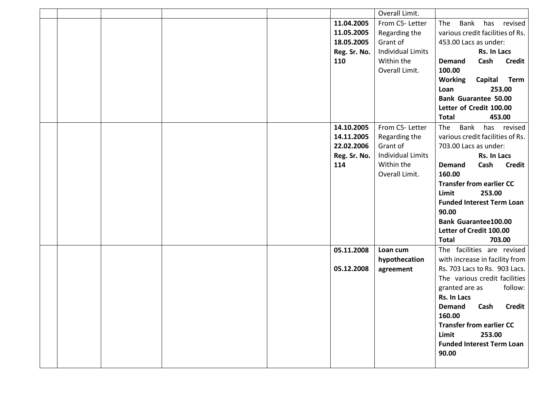|  |  |              | Overall Limit.           |                                        |
|--|--|--------------|--------------------------|----------------------------------------|
|  |  | 11.04.2005   | From C5-Letter           | Bank<br>has revised<br>The             |
|  |  | 11.05.2005   | Regarding the            | various credit facilities of Rs.       |
|  |  | 18.05.2005   | Grant of                 | 453.00 Lacs as under:                  |
|  |  | Reg. Sr. No. | <b>Individual Limits</b> | Rs. In Lacs                            |
|  |  | 110          | Within the               | Cash<br><b>Demand</b><br><b>Credit</b> |
|  |  |              | Overall Limit.           | 100.00                                 |
|  |  |              |                          | <b>Working</b><br>Capital<br>Term      |
|  |  |              |                          | 253.00<br>Loan                         |
|  |  |              |                          | <b>Bank Guarantee 50.00</b>            |
|  |  |              |                          | Letter of Credit 100.00                |
|  |  |              |                          | 453.00<br><b>Total</b>                 |
|  |  | 14.10.2005   | From C5-Letter           | Bank<br>has revised<br>The             |
|  |  | 14.11.2005   | Regarding the            | various credit facilities of Rs.       |
|  |  | 22.02.2006   | Grant of                 | 703.00 Lacs as under:                  |
|  |  | Reg. Sr. No. | <b>Individual Limits</b> | Rs. In Lacs                            |
|  |  | 114          | Within the               | Cash<br><b>Credit</b><br><b>Demand</b> |
|  |  |              | Overall Limit.           | 160.00                                 |
|  |  |              |                          | <b>Transfer from earlier CC</b>        |
|  |  |              |                          | 253.00<br>Limit                        |
|  |  |              |                          | <b>Funded Interest Term Loan</b>       |
|  |  |              |                          | 90.00                                  |
|  |  |              |                          | <b>Bank Guarantee100.00</b>            |
|  |  |              |                          | Letter of Credit 100.00                |
|  |  |              |                          | 703.00<br><b>Total</b>                 |
|  |  | 05.11.2008   | Loan cum                 | The facilities are revised             |
|  |  |              | hypothecation            | with increase in facility from         |
|  |  | 05.12.2008   | agreement                | Rs. 703 Lacs to Rs. 903 Lacs.          |
|  |  |              |                          | The various credit facilities          |
|  |  |              |                          | follow:<br>granted are as              |
|  |  |              |                          | Rs. In Lacs                            |
|  |  |              |                          | Demand Cash Credit                     |
|  |  |              |                          | 160.00                                 |
|  |  |              |                          | <b>Transfer from earlier CC</b>        |
|  |  |              |                          | 253.00<br>Limit                        |
|  |  |              |                          | <b>Funded Interest Term Loan</b>       |
|  |  |              |                          | 90.00                                  |
|  |  |              |                          |                                        |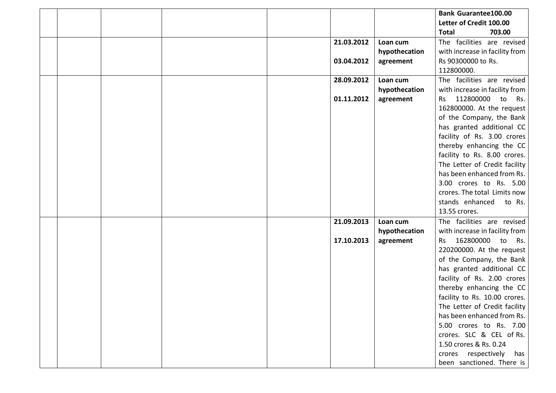|  |  |            |               | <b>Bank Guarantee100.00</b>         |
|--|--|------------|---------------|-------------------------------------|
|  |  |            |               | Letter of Credit 100.00             |
|  |  |            |               | <b>Total</b><br>703.00              |
|  |  | 21.03.2012 | Loan cum      | The facilities are revised          |
|  |  |            | hypothecation | with increase in facility from      |
|  |  | 03.04.2012 | agreement     | Rs 90300000 to Rs.                  |
|  |  |            |               | 112800000.                          |
|  |  | 28.09.2012 | Loan cum      | The facilities are revised          |
|  |  |            | hypothecation | with increase in facility from      |
|  |  | 01.11.2012 | agreement     | 112800000<br>to<br>Rs.<br><b>Rs</b> |
|  |  |            |               | 162800000. At the request           |
|  |  |            |               | of the Company, the Bank            |
|  |  |            |               | has granted additional CC           |
|  |  |            |               | facility of Rs. 3.00 crores         |
|  |  |            |               | thereby enhancing the CC            |
|  |  |            |               | facility to Rs. 8.00 crores.        |
|  |  |            |               | The Letter of Credit facility       |
|  |  |            |               | has been enhanced from Rs.          |
|  |  |            |               | 3.00 crores to Rs. 5.00             |
|  |  |            |               | crores. The total Limits now        |
|  |  |            |               | stands enhanced<br>to Rs.           |
|  |  |            |               | 13.55 crores.                       |
|  |  | 21.09.2013 | Loan cum      | The facilities are revised          |
|  |  |            | hypothecation | with increase in facility from      |
|  |  | 17.10.2013 | agreement     | 162800000<br>to<br>Rs.<br><b>Rs</b> |
|  |  |            |               | 220200000. At the request           |
|  |  |            |               | of the Company, the Bank            |
|  |  |            |               | has granted additional CC           |
|  |  |            |               | facility of Rs. 2.00 crores         |
|  |  |            |               | thereby enhancing the CC            |
|  |  |            |               | facility to Rs. 10.00 crores.       |
|  |  |            |               | The Letter of Credit facility       |
|  |  |            |               | has been enhanced from Rs.          |
|  |  |            |               | 5.00 crores to Rs. 7.00             |
|  |  |            |               | crores. SLC & CEL of Rs.            |
|  |  |            |               | 1.50 crores & Rs. 0.24              |
|  |  |            |               | crores respectively has             |
|  |  |            |               | been sanctioned. There is           |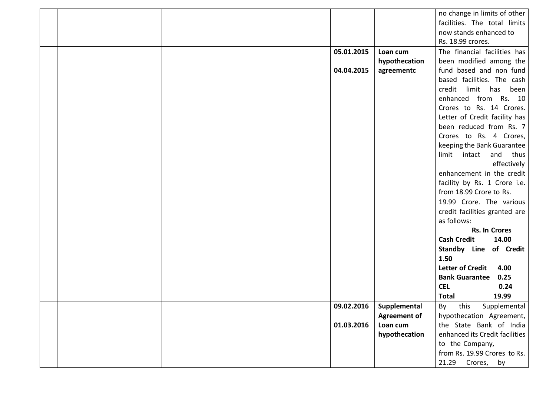|  |  |            |                           | no change in limits of other                              |
|--|--|------------|---------------------------|-----------------------------------------------------------|
|  |  |            |                           | facilities. The total limits                              |
|  |  |            |                           | now stands enhanced to                                    |
|  |  |            |                           | Rs. 18.99 crores.                                         |
|  |  | 05.01.2015 | Loan cum                  | The financial facilities has                              |
|  |  |            | hypothecation             | been modified among the                                   |
|  |  | 04.04.2015 | agreementc                | fund based and non fund                                   |
|  |  |            |                           | based facilities. The cash                                |
|  |  |            |                           | credit<br>limit has been                                  |
|  |  |            |                           | enhanced from Rs. 10                                      |
|  |  |            |                           | Crores to Rs. 14 Crores.                                  |
|  |  |            |                           | Letter of Credit facility has                             |
|  |  |            |                           | been reduced from Rs. 7                                   |
|  |  |            |                           | Crores to Rs. 4 Crores,                                   |
|  |  |            |                           | keeping the Bank Guarantee                                |
|  |  |            |                           | limit intact<br>and thus                                  |
|  |  |            |                           | effectively                                               |
|  |  |            |                           | enhancement in the credit                                 |
|  |  |            |                           | facility by Rs. 1 Crore i.e.                              |
|  |  |            |                           | from 18.99 Crore to Rs.                                   |
|  |  |            |                           | 19.99 Crore. The various                                  |
|  |  |            |                           | credit facilities granted are                             |
|  |  |            |                           | as follows:                                               |
|  |  |            |                           | <b>Rs. In Crores</b>                                      |
|  |  |            |                           | <b>Cash Credit</b><br>14.00                               |
|  |  |            |                           | <b>Standby Line of Credit</b>                             |
|  |  |            |                           | 1.50                                                      |
|  |  |            |                           | <b>Letter of Credit</b><br>4.00                           |
|  |  |            |                           | <b>Bank Guarantee</b><br>0.25                             |
|  |  |            |                           | <b>CEL</b><br>0.24                                        |
|  |  |            |                           | <b>Total</b><br>19.99                                     |
|  |  | 09.02.2016 | Supplemental              | By<br>this<br>Supplemental                                |
|  |  |            | <b>Agreement of</b>       | hypothecation Agreement,                                  |
|  |  | 01.03.2016 | Loan cum<br>hypothecation | the State Bank of India<br>enhanced its Credit facilities |
|  |  |            |                           | to the Company,                                           |
|  |  |            |                           | from Rs. 19.99 Crores to Rs.                              |
|  |  |            |                           |                                                           |
|  |  |            |                           | 21.29 Crores, by                                          |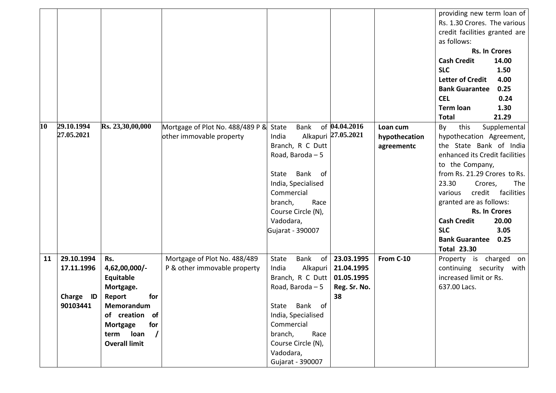|    |            |                      |                                  |                      |                     |               | providing new term loan of      |
|----|------------|----------------------|----------------------------------|----------------------|---------------------|---------------|---------------------------------|
|    |            |                      |                                  |                      |                     |               | Rs. 1.30 Crores. The various    |
|    |            |                      |                                  |                      |                     |               | credit facilities granted are   |
|    |            |                      |                                  |                      |                     |               | as follows:                     |
|    |            |                      |                                  |                      |                     |               | <b>Rs. In Crores</b>            |
|    |            |                      |                                  |                      |                     |               | <b>Cash Credit</b><br>14.00     |
|    |            |                      |                                  |                      |                     |               | <b>SLC</b><br>1.50              |
|    |            |                      |                                  |                      |                     |               | <b>Letter of Credit</b><br>4.00 |
|    |            |                      |                                  |                      |                     |               | <b>Bank Guarantee</b><br>0.25   |
|    |            |                      |                                  |                      |                     |               | <b>CEL</b><br>0.24              |
|    |            |                      |                                  |                      |                     |               | <b>Term loan</b><br>1.30        |
|    |            |                      |                                  |                      |                     |               | 21.29<br><b>Total</b>           |
| 10 | 29.10.1994 | Rs. 23,30,00,000     | Mortgage of Plot No. 488/489 P & | <b>Bank</b><br>State | of 04.04.2016       | Loan cum      | this<br>By<br>Supplemental      |
|    | 27.05.2021 |                      | other immovable property         | India                | Alkapuri 27.05.2021 | hypothecation | hypothecation Agreement,        |
|    |            |                      |                                  | Branch, R C Dutt     |                     | agreementc    | the State Bank of India         |
|    |            |                      |                                  | Road, Baroda - 5     |                     |               | enhanced its Credit facilities  |
|    |            |                      |                                  |                      |                     |               | to the Company,                 |
|    |            |                      |                                  | Bank of<br>State     |                     |               | from Rs. 21.29 Crores to Rs.    |
|    |            |                      |                                  | India, Specialised   |                     |               | 23.30<br>The<br>Crores,         |
|    |            |                      |                                  | Commercial           |                     |               | facilities<br>credit<br>various |
|    |            |                      |                                  | Race<br>branch,      |                     |               | granted are as follows:         |
|    |            |                      |                                  | Course Circle (N),   |                     |               | <b>Rs. In Crores</b>            |
|    |            |                      |                                  | Vadodara,            |                     |               | <b>Cash Credit</b><br>20.00     |
|    |            |                      |                                  | Gujarat - 390007     |                     |               | <b>SLC</b><br>3.05              |
|    |            |                      |                                  |                      |                     |               | <b>Bank Guarantee</b><br>0.25   |
|    |            |                      |                                  |                      |                     |               | <b>Total 23.30</b>              |
| 11 | 29.10.1994 | Rs.                  | Mortgage of Plot No. 488/489     | Bank<br>of<br>State  | 23.03.1995          | From C-10     | Property is charged on          |
|    | 17.11.1996 | 4,62,00,000/-        | P & other immovable property     | Alkapuri<br>India    | 21.04.1995          |               | continuing security with        |
|    |            | Equitable            |                                  | Branch, R C Dutt     | 01.05.1995          |               | increased limit or Rs.          |
|    |            | Mortgage.            |                                  | Road, Baroda - 5     | Reg. Sr. No.        |               | 637.00 Lacs.                    |
|    | Charge ID  | Report<br>for        |                                  |                      | 38                  |               |                                 |
|    | 90103441   | Memorandum           |                                  | State Bank of        |                     |               |                                 |
|    |            | of creation of       |                                  | India, Specialised   |                     |               |                                 |
|    |            | for<br>Mortgage      |                                  | Commercial           |                     |               |                                 |
|    |            | term $\log$ /        |                                  | branch,<br>Race      |                     |               |                                 |
|    |            | <b>Overall limit</b> |                                  | Course Circle (N),   |                     |               |                                 |
|    |            |                      |                                  | Vadodara,            |                     |               |                                 |
|    |            |                      |                                  | Gujarat - 390007     |                     |               |                                 |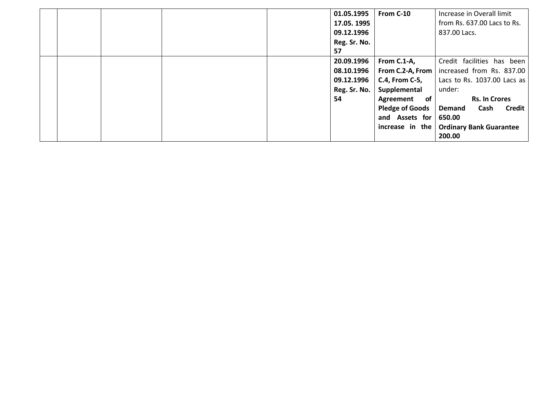|  |  | 01.05.1995   | From C-10              | Increase in Overall limit                       |
|--|--|--------------|------------------------|-------------------------------------------------|
|  |  | 17.05. 1995  |                        | from Rs. 637.00 Lacs to Rs.                     |
|  |  | 09.12.1996   |                        | 837.00 Lacs.                                    |
|  |  | Reg. Sr. No. |                        |                                                 |
|  |  | 57           |                        |                                                 |
|  |  | 20.09.1996   | From C.1-A,            | Credit facilities has been                      |
|  |  | 08.10.1996   |                        | From C.2-A, From   increased from Rs. 837.00    |
|  |  | 09.12.1996   | <b>C.4, From C-5,</b>  | Lacs to Rs. 1037.00 Lacs as                     |
|  |  | Reg. Sr. No. | Supplemental           | under:                                          |
|  |  | 54           | Agreement of           | <b>Rs. In Crores</b>                            |
|  |  |              | <b>Pledge of Goods</b> | <b>Demand</b><br>Cash<br><b>Credit</b>          |
|  |  |              | and Assets for         | 650.00                                          |
|  |  |              |                        | increase in the $\vert$ Ordinary Bank Guarantee |
|  |  |              |                        | 200.00                                          |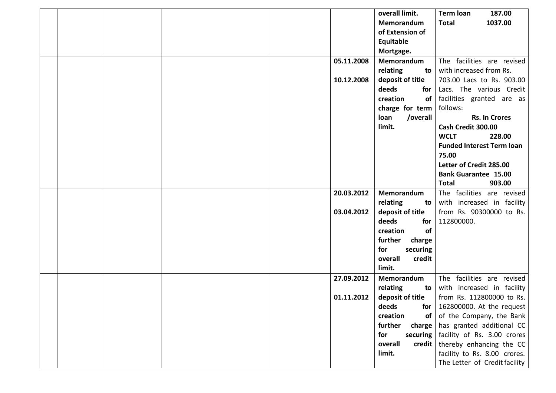|  |  |            | overall limit.        | <b>Term loan</b><br>187.00       |
|--|--|------------|-----------------------|----------------------------------|
|  |  |            | Memorandum            | 1037.00<br><b>Total</b>          |
|  |  |            | of Extension of       |                                  |
|  |  |            | Equitable             |                                  |
|  |  |            | Mortgage.             |                                  |
|  |  | 05.11.2008 | Memorandum            | The facilities are revised       |
|  |  |            | relating<br>to        | with increased from Rs.          |
|  |  | 10.12.2008 | deposit of title      | 703.00 Lacs to Rs. 903.00        |
|  |  |            | deeds<br>for          | Lacs. The various Credit         |
|  |  |            | creation<br>of        | facilities granted are as        |
|  |  |            | charge for term       | follows:                         |
|  |  |            | /overall<br>loan      | <b>Rs. In Crores</b>             |
|  |  |            | limit.                | Cash Credit 300.00               |
|  |  |            |                       | 228.00<br><b>WCLT</b>            |
|  |  |            |                       | <b>Funded Interest Term loan</b> |
|  |  |            |                       | 75.00                            |
|  |  |            |                       | Letter of Credit 285.00          |
|  |  |            |                       | <b>Bank Guarantee 15.00</b>      |
|  |  |            |                       | 903.00<br><b>Total</b>           |
|  |  | 20.03.2012 | Memorandum            | The facilities are revised       |
|  |  |            | relating<br>to        | with increased in facility       |
|  |  | 03.04.2012 | deposit of title      | from Rs. 90300000 to Rs.         |
|  |  |            | deeds<br>for          | 112800000.                       |
|  |  |            | of<br>creation        |                                  |
|  |  |            | further<br>charge     |                                  |
|  |  |            | for<br>securing       |                                  |
|  |  |            | overall<br>credit     |                                  |
|  |  |            | limit.                |                                  |
|  |  | 27.09.2012 | Memorandum            | The facilities are revised       |
|  |  |            | relating<br>to        | with increased in facility       |
|  |  | 01.11.2012 | deposit of title      | from Rs. 112800000 to Rs.        |
|  |  |            | deeds<br>for          | 162800000. At the request        |
|  |  |            | creation<br><b>of</b> | of the Company, the Bank         |
|  |  |            | further<br>charge     | has granted additional CC        |
|  |  |            | for<br>securing       | facility of Rs. 3.00 crores      |
|  |  |            | overall<br>credit     | thereby enhancing the CC         |
|  |  |            | limit.                | facility to Rs. 8.00 crores.     |
|  |  |            |                       | The Letter of Credit facility    |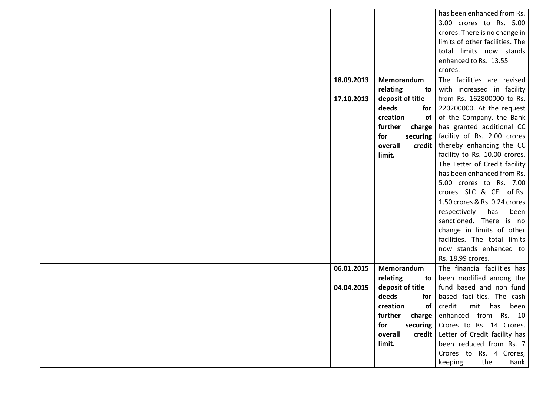|  |  |            |                       | has been enhanced from Rs.      |
|--|--|------------|-----------------------|---------------------------------|
|  |  |            |                       | 3.00 crores to Rs. 5.00         |
|  |  |            |                       | crores. There is no change in   |
|  |  |            |                       | limits of other facilities. The |
|  |  |            |                       | total limits now stands         |
|  |  |            |                       | enhanced to Rs. 13.55           |
|  |  |            |                       | crores.                         |
|  |  | 18.09.2013 | Memorandum            | The facilities are revised      |
|  |  |            | relating<br>to        | with increased in facility      |
|  |  | 17.10.2013 | deposit of title      | from Rs. 162800000 to Rs.       |
|  |  |            | deeds<br>for          | 220200000. At the request       |
|  |  |            | creation<br><b>of</b> | of the Company, the Bank        |
|  |  |            | further<br>charge     | has granted additional CC       |
|  |  |            | for<br>securing       | facility of Rs. 2.00 crores     |
|  |  |            | overall<br>credit     | thereby enhancing the CC        |
|  |  |            | limit.                | facility to Rs. 10.00 crores.   |
|  |  |            |                       | The Letter of Credit facility   |
|  |  |            |                       | has been enhanced from Rs.      |
|  |  |            |                       | 5.00 crores to Rs. 7.00         |
|  |  |            |                       | crores. SLC & CEL of Rs.        |
|  |  |            |                       | 1.50 crores & Rs. 0.24 crores   |
|  |  |            |                       | respectively<br>has<br>been     |
|  |  |            |                       | sanctioned. There is no         |
|  |  |            |                       | change in limits of other       |
|  |  |            |                       | facilities. The total limits    |
|  |  |            |                       | now stands enhanced to          |
|  |  |            |                       | Rs. 18.99 crores.               |
|  |  | 06.01.2015 | Memorandum            | The financial facilities has    |
|  |  |            | relating<br>to        | been modified among the         |
|  |  | 04.04.2015 | deposit of title      | fund based and non fund         |
|  |  |            | deeds<br>for          | based facilities. The cash      |
|  |  |            | of<br>creation        | credit limit has been           |
|  |  |            | further<br>charge     | enhanced from Rs. 10            |
|  |  |            | for<br>securing       | Crores to Rs. 14 Crores.        |
|  |  |            | overall<br>credit     | Letter of Credit facility has   |
|  |  |            | limit.                | been reduced from Rs. 7         |
|  |  |            |                       | Crores to Rs. 4 Crores,         |
|  |  |            |                       | the<br>keeping<br>Bank          |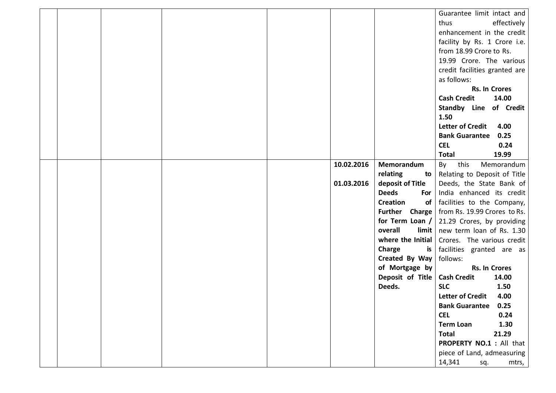|  |  |            |                            | Guarantee limit intact and                           |
|--|--|------------|----------------------------|------------------------------------------------------|
|  |  |            |                            | thus<br>effectively                                  |
|  |  |            |                            | enhancement in the credit                            |
|  |  |            |                            | facility by Rs. 1 Crore i.e.                         |
|  |  |            |                            | from 18.99 Crore to Rs.                              |
|  |  |            |                            | 19.99 Crore. The various                             |
|  |  |            |                            | credit facilities granted are                        |
|  |  |            |                            | as follows:                                          |
|  |  |            |                            | <b>Rs. In Crores</b>                                 |
|  |  |            |                            | <b>Cash Credit</b><br>14.00                          |
|  |  |            |                            | Standby Line of Credit                               |
|  |  |            |                            | 1.50                                                 |
|  |  |            |                            | <b>Letter of Credit</b><br>4.00                      |
|  |  |            |                            | <b>Bank Guarantee</b><br>0.25                        |
|  |  |            |                            | <b>CEL</b><br>0.24                                   |
|  |  |            |                            | <b>Total</b><br>19.99                                |
|  |  | 10.02.2016 | Memorandum                 | Memorandum<br>By<br>this                             |
|  |  |            | relating<br>to             | Relating to Deposit of Title                         |
|  |  | 01.03.2016 | deposit of Title           | Deeds, the State Bank of                             |
|  |  |            | <b>Deeds</b><br>For        | India enhanced its credit                            |
|  |  |            | <b>Creation</b><br>of      | facilities to the Company,                           |
|  |  |            |                            | <b>Further</b> Charge   from Rs. 19.99 Crores to Rs. |
|  |  |            | for Term Loan $/$          | 21.29 Crores, by providing                           |
|  |  |            | overall                    | $\lim_{h \to 0}$ new term loan of Rs. 1.30           |
|  |  |            | where the Initial          | Crores. The various credit                           |
|  |  |            | Charge<br>is               | facilities granted are as                            |
|  |  |            | Created By Way             | follows:                                             |
|  |  |            | of Mortgage by             | <b>Rs. In Crores</b>                                 |
|  |  |            | Deposit of Title<br>Deeds. | <b>Cash Credit</b><br>14.00<br><b>SLC</b>            |
|  |  |            |                            | 1.50<br><b>Letter of Credit</b><br>4.00              |
|  |  |            |                            | <b>Bank Guarantee</b><br>0.25                        |
|  |  |            |                            | <b>CEL</b><br>0.24                                   |
|  |  |            |                            | 1.30<br><b>Term Loan</b>                             |
|  |  |            |                            | 21.29<br><b>Total</b>                                |
|  |  |            |                            | <b>PROPERTY NO.1</b> : All that                      |
|  |  |            |                            | piece of Land, admeasuring                           |
|  |  |            |                            | 14,341<br>sq.<br>mtrs,                               |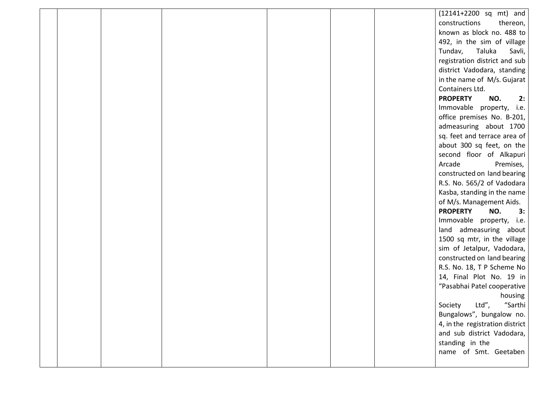|  |  |  | (12141+2200 sq mt) and          |
|--|--|--|---------------------------------|
|  |  |  | constructions<br>thereon,       |
|  |  |  | known as block no. 488 to       |
|  |  |  | 492, in the sim of village      |
|  |  |  | Tundav,<br>Taluka<br>Savli,     |
|  |  |  | registration district and sub   |
|  |  |  | district Vadodara, standing     |
|  |  |  | in the name of M/s. Gujarat     |
|  |  |  | Containers Ltd.                 |
|  |  |  | <b>PROPERTY</b><br>NO.<br>2:    |
|  |  |  | Immovable property, i.e.        |
|  |  |  | office premises No. B-201,      |
|  |  |  | admeasuring about 1700          |
|  |  |  | sq. feet and terrace area of    |
|  |  |  | about 300 sq feet, on the       |
|  |  |  | second floor of Alkapuri        |
|  |  |  | Arcade<br>Premises,             |
|  |  |  | constructed on land bearing     |
|  |  |  | R.S. No. 565/2 of Vadodara      |
|  |  |  | Kasba, standing in the name     |
|  |  |  | of M/s. Management Aids.        |
|  |  |  | <b>PROPERTY</b><br>NO.<br>3:    |
|  |  |  | Immovable property, i.e.        |
|  |  |  | land admeasuring about          |
|  |  |  | 1500 sq mtr, in the village     |
|  |  |  | sim of Jetalpur, Vadodara,      |
|  |  |  | constructed on land bearing     |
|  |  |  | R.S. No. 18, T P Scheme No      |
|  |  |  | 14, Final Plot No. 19 in        |
|  |  |  | "Pasabhai Patel cooperative     |
|  |  |  | housing                         |
|  |  |  | "Sarthi<br>Society Ltd",        |
|  |  |  | Bungalows", bungalow no.        |
|  |  |  | 4, in the registration district |
|  |  |  | and sub district Vadodara,      |
|  |  |  | standing in the                 |
|  |  |  | name of Smt. Geetaben           |
|  |  |  |                                 |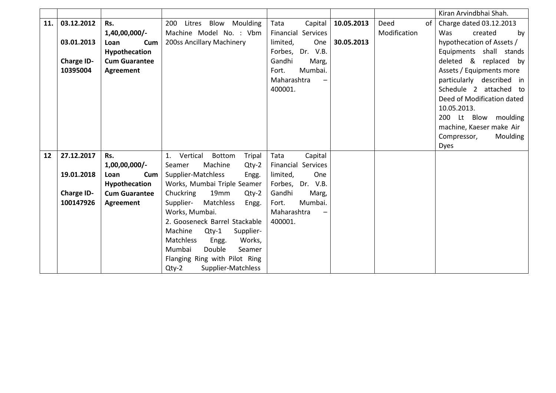|     |                   |                      |                                           |                           |            |              | Kiran Arvindbhai Shah.                              |
|-----|-------------------|----------------------|-------------------------------------------|---------------------------|------------|--------------|-----------------------------------------------------|
| 11. | 03.12.2012        | Rs.                  | Blow<br>Moulding<br>200<br>Litres         | Capital<br>Tata           | 10.05.2013 | Deed<br>of   | Charge dated 03.12.2013                             |
|     |                   | 1,40,00,000/-        | Machine Model No. : Vbm                   | <b>Financial Services</b> |            | Modification | Was<br>created<br>by                                |
|     | 03.01.2013        | Cum<br>Loan          | 200ss Ancillary Machinery                 | limited,<br>One           | 30.05.2013 |              | hypothecation of Assets /                           |
|     |                   | Hypothecation        |                                           | Dr. V.B.<br>Forbes,       |            |              | Equipments shall stands                             |
|     | <b>Charge ID-</b> | <b>Cum Guarantee</b> |                                           | Gandhi<br>Marg,           |            |              | deleted & replaced by                               |
|     | 10395004          | Agreement            |                                           | Mumbai.<br>Fort.          |            |              | Assets / Equipments more                            |
|     |                   |                      |                                           | Maharashtra               |            |              | particularly described in                           |
|     |                   |                      |                                           | 400001.                   |            |              | Schedule 2 attached to                              |
|     |                   |                      |                                           |                           |            |              | Deed of Modification dated                          |
|     |                   |                      |                                           |                           |            |              | 10.05.2013.                                         |
|     |                   |                      |                                           |                           |            |              | Lt Blow moulding<br>200                             |
|     |                   |                      |                                           |                           |            |              | machine, Kaeser make Air<br>Compressor,<br>Moulding |
|     |                   |                      |                                           |                           |            |              | <b>Dyes</b>                                         |
| 12  | 27.12.2017        | Rs.                  | Vertical<br>Bottom<br><b>Tripal</b><br>1. | Capital<br>Tata           |            |              |                                                     |
|     |                   | 1,00,00,000/-        | Machine<br>$Qty-2$<br>Seamer              | <b>Financial Services</b> |            |              |                                                     |
|     | 19.01.2018        | Cum<br>Loan          | Supplier-Matchless<br>Engg.               | One<br>limited,           |            |              |                                                     |
|     |                   | Hypothecation        | Works, Mumbai Triple Seamer               | Forbes, Dr. V.B.          |            |              |                                                     |
|     | <b>Charge ID-</b> | <b>Cum Guarantee</b> | Chuckring<br>19 <sub>mm</sub><br>$Qty-2$  | Gandhi<br>Marg,           |            |              |                                                     |
|     | 100147926         | Agreement            | Supplier-<br>Matchless<br>Engg.           | Mumbai.<br>Fort.          |            |              |                                                     |
|     |                   |                      | Works, Mumbai.                            | Maharashtra               |            |              |                                                     |
|     |                   |                      | 2. Gooseneck Barrel Stackable             | 400001.                   |            |              |                                                     |
|     |                   |                      | Machine<br>$Qty-1$<br>Supplier-           |                           |            |              |                                                     |
|     |                   |                      | Works,<br>Matchless<br>Engg.              |                           |            |              |                                                     |
|     |                   |                      | Double<br>Mumbai<br>Seamer                |                           |            |              |                                                     |
|     |                   |                      | Flanging Ring with Pilot Ring             |                           |            |              |                                                     |
|     |                   |                      | Supplier-Matchless<br>$Qty-2$             |                           |            |              |                                                     |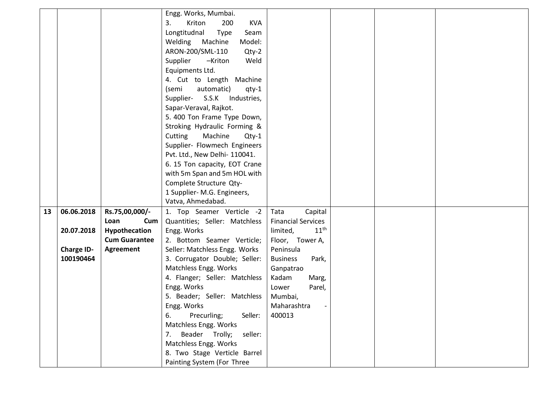|    |                   |                      | Engg. Works, Mumbai.                |                              |  |  |
|----|-------------------|----------------------|-------------------------------------|------------------------------|--|--|
|    |                   |                      | <b>KVA</b><br>3.<br>Kriton<br>200   |                              |  |  |
|    |                   |                      | Longtitudnal<br><b>Type</b><br>Seam |                              |  |  |
|    |                   |                      | Machine<br>Model:<br>Welding        |                              |  |  |
|    |                   |                      | ARON-200/SML-110<br>$Qty-2$         |                              |  |  |
|    |                   |                      | Supplier<br>-Kriton<br>Weld         |                              |  |  |
|    |                   |                      | Equipments Ltd.                     |                              |  |  |
|    |                   |                      | 4. Cut to Length Machine            |                              |  |  |
|    |                   |                      | automatic)<br>(semi<br>qty-1        |                              |  |  |
|    |                   |                      | Supplier- S.S.K<br>Industries,      |                              |  |  |
|    |                   |                      | Sapar-Veraval, Rajkot.              |                              |  |  |
|    |                   |                      | 5. 400 Ton Frame Type Down,         |                              |  |  |
|    |                   |                      | Stroking Hydraulic Forming &        |                              |  |  |
|    |                   |                      | Machine<br>Cutting<br>$Qty-1$       |                              |  |  |
|    |                   |                      | Supplier- Flowmech Engineers        |                              |  |  |
|    |                   |                      | Pvt. Ltd., New Delhi- 110041.       |                              |  |  |
|    |                   |                      | 6. 15 Ton capacity, EOT Crane       |                              |  |  |
|    |                   |                      | with 5m Span and 5m HOL with        |                              |  |  |
|    |                   |                      | Complete Structure Qty-             |                              |  |  |
|    |                   |                      | 1 Supplier- M.G. Engineers,         |                              |  |  |
|    |                   |                      | Vatva, Ahmedabad.                   |                              |  |  |
| 13 | 06.06.2018        | Rs.75,00,000/-       | 1. Top Seamer Verticle -2           | Tata<br>Capital              |  |  |
|    |                   | Cum<br>Loan          | Quantities; Seller: Matchless       | <b>Financial Services</b>    |  |  |
|    | 20.07.2018        | Hypothecation        | Engg. Works                         | 11 <sup>th</sup><br>limited, |  |  |
|    |                   | <b>Cum Guarantee</b> | 2. Bottom Seamer Verticle;          | Floor, Tower A,              |  |  |
|    | <b>Charge ID-</b> | Agreement            | Seller: Matchless Engg. Works       | Peninsula                    |  |  |
|    | 100190464         |                      | 3. Corrugator Double; Seller:       | Park,<br><b>Business</b>     |  |  |
|    |                   |                      | Matchless Engg. Works               | Ganpatrao                    |  |  |
|    |                   |                      | 4. Flanger; Seller: Matchless       | Kadam<br>Marg,               |  |  |
|    |                   |                      | Engg. Works                         | Parel,<br>Lower              |  |  |
|    |                   |                      | 5. Beader; Seller: Matchless        | Mumbai,                      |  |  |
|    |                   |                      | Engg. Works                         | Maharashtra                  |  |  |
|    |                   |                      | 6.<br>Precurling;<br>Seller:        | 400013                       |  |  |
|    |                   |                      | Matchless Engg. Works               |                              |  |  |
|    |                   |                      | Beader Trolly;<br>seller:<br>7.     |                              |  |  |
|    |                   |                      | Matchless Engg. Works               |                              |  |  |
|    |                   |                      | 8. Two Stage Verticle Barrel        |                              |  |  |
|    |                   |                      | Painting System (For Three          |                              |  |  |